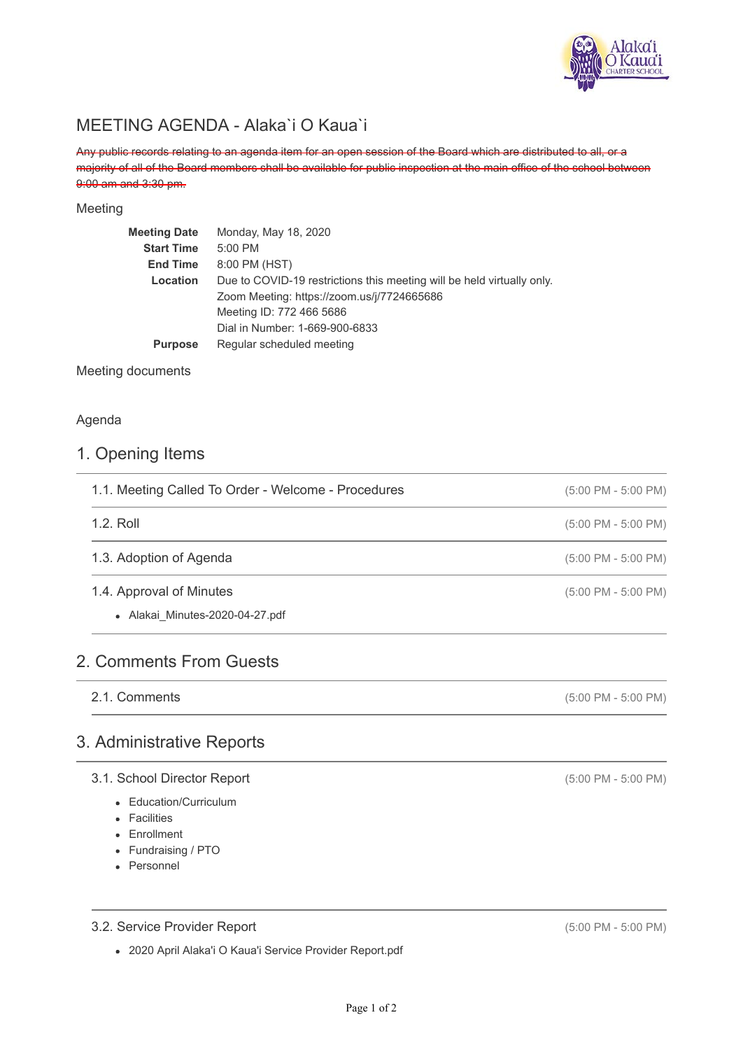

## MEETING AGENDA - Alaka`i O Kaua`i

Any public records relating to an agenda item for an open session of the Board which are distributed to all, or a majority of all of the Board members shall be available for public inspection at the main office of the school between 9:00 am and 3:30 pm.

### Meeting

| <b>Meeting Date</b> | Monday, May 18, 2020                                                   |
|---------------------|------------------------------------------------------------------------|
| <b>Start Time</b>   | $5:00$ PM                                                              |
| <b>End Time</b>     | 8:00 PM (HST)                                                          |
| Location            | Due to COVID-19 restrictions this meeting will be held virtually only. |
|                     | Zoom Meeting: https://zoom.us/j/7724665686                             |
|                     | Meeting ID: 772 466 5686                                               |
|                     | Dial in Number: 1-669-900-6833                                         |
| <b>Purpose</b>      | Regular scheduled meeting                                              |
|                     |                                                                        |

Meeting documents

### Agenda

### 1. Opening Items

| 1.1. Meeting Called To Order - Welcome - Procedures | $(5:00 \text{ PM} - 5:00 \text{ PM})$ |
|-----------------------------------------------------|---------------------------------------|
| 1.2. Roll                                           | $(5:00 \text{ PM} - 5:00 \text{ PM})$ |
| 1.3. Adoption of Agenda                             | $(5:00 \text{ PM} - 5:00 \text{ PM})$ |
| 1.4. Approval of Minutes                            | $(5:00 \text{ PM} - 5:00 \text{ PM})$ |
| • Alakai Minutes-2020-04-27.pdf                     |                                       |

### 2. Comments From Guests

2.1. Comments

### 3. Administrative Reports

### 3.1. School Director Report

- Education/Curriculum
- Facilities
- Enrollment
- Fundraising / PTO
- Personnel

### 3.2. Service Provider Report

2020 April Alaka'i O Kaua'i Service Provider Report.pdf

(5:00 PM - 5:00 PM)

(5:00 PM - 5:00 PM)

(5:00 PM - 5:00 PM)